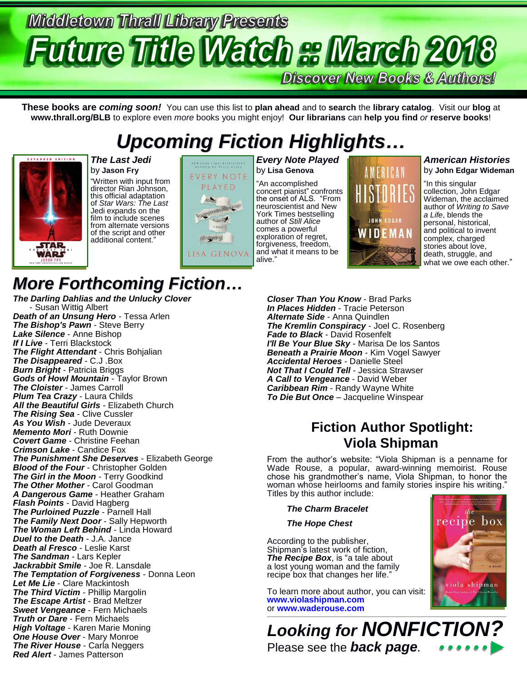# **Middletown Thrall Library Presents Future Title Watch & March 201**

**Discover New Books & Authors!** 

**JOHN EDGAR** WIDEMAN

**These books are** *coming soon!* You can use this list to **plan ahead** and to **search** the **library catalog**. Visit our **blog** at **www.thrall.org/BLB** to explore even *more* books you might enjoy! **Our librarians** can **help you find** *or* **reserve books**!

## *Upcoming Fiction Highlights…*



#### *The Last Jedi* by **Jason Fry**

"Written with input from director Rian Johnson, this official adaptation of *Star Wars: The Last* Jedi expands on the film to include scenes from alternate versions of the script and other additional content."



#### *Every Note Played* by **Lisa Genova**

"An accomplished concert pianist" confronts the onset of ALS. "From neuroscientist and New York Times bestselling author of *Still Alice*  comes a powerful exploration of regret, forgiveness, freedom, and what it means to be alive."

### *American Histories* by **John Edgar Wideman** AMFRICAN "In this singular

collection, John Edgar Wideman, the acclaimed author of *Writing to Save a Life*, blends the personal, historical, and political to invent complex, charged stories about love, death, struggle, and what we owe each other."

#### *Closer Than You Know* - Brad Parks *In Places Hidden* - Tracie Peterson *Alternate Side* - Anna Quindlen *The Kremlin Conspiracy* - Joel C. Rosenberg *Fade to Black* - David Rosenfelt *I'll Be Your Blue Sky* - Marisa De los Santos *Beneath a Prairie Moon* - Kim Vogel Sawyer *Accidental Heroes* - Danielle Steel *Not That I Could Tell* - Jessica Strawser *A Call to Vengeance* - David Weber *Caribbean Rim* - Randy Wayne White *To Die But Once* – Jacqueline Winspear

### **Fiction Author Spotlight: Viola Shipman**

From the author's website: "Viola Shipman is a penname for Wade Rouse, a popular, award-winning memoirist. Rouse chose his grandmother's name, Viola Shipman, to honor the woman whose heirlooms and family stories inspire his writing." Titles by this author include:

*The Charm Bracelet*

*The Hope Chest*

According to the publisher, Shipman's latest work of fiction, *The Recipe Box*, is "a tale about a lost young woman and the family recipe box that changes her life."

To learn more about author, you can visit: **[www.violashipman.com](http://www.violashipman.com/)** or [www.waderouse.com](http://www.waderouse.com/)



*Looking for NONFICTION?* Please see the *back page.*

### *More Forthcoming Fiction…*

*The Darling Dahlias and the Unlucky Clover* - Susan Wittig Albert *Death of an Unsung Hero* - Tessa Arlen *The Bishop's Pawn* - Steve Berry *Lake Silence* - Anne Bishop *If I Live* - Terri Blackstock *The Flight Attendant* - Chris Bohjalian *The Disappeared* - C.J .Box *Burn Bright* - Patricia Briggs *Gods of Howl Mountain* - Taylor Brown *The Cloister* - James Carroll *Plum Tea Crazy* - Laura Childs *All the Beautiful Girls* - Elizabeth Church *The Rising Sea* - Clive Cussler *As You Wish* - Jude Deveraux *Memento Mori* - Ruth Downie *Covert Game* - Christine Feehan *Crimson Lake* - Candice Fox *The Punishment She Deserves* - Elizabeth George *Blood of the Four* - Christopher Golden *The Girl in the Moon* - Terry Goodkind *The Other Mother* - Carol Goodman *A Dangerous Game* - Heather Graham *Flash Points* - David Hagberg *The Purloined Puzzle* - Parnell Hall *The Family Next Door* - Sally Hepworth **The Woman Left Behind - Linda Howard** *Duel to the Death* - J.A. Jance *Death al Fresco* - Leslie Karst *The Sandman* - Lars Kepler *Jackrabbit Smile* - Joe R. Lansdale *The Temptation of Forgiveness* - Donna Leon *Let Me Lie* - Clare Mackintosh *The Third Victim* - Phillip Margolin *The Escape Artist* - Brad Meltzer *Sweet Vengeance* - Fern Michaels *Truth or Dare* - Fern Michaels *High Voltage* - Karen Marie Moning *One House Over* - Mary Monroe *The River House* - Carla Neggers *Red Alert* - James Patterson